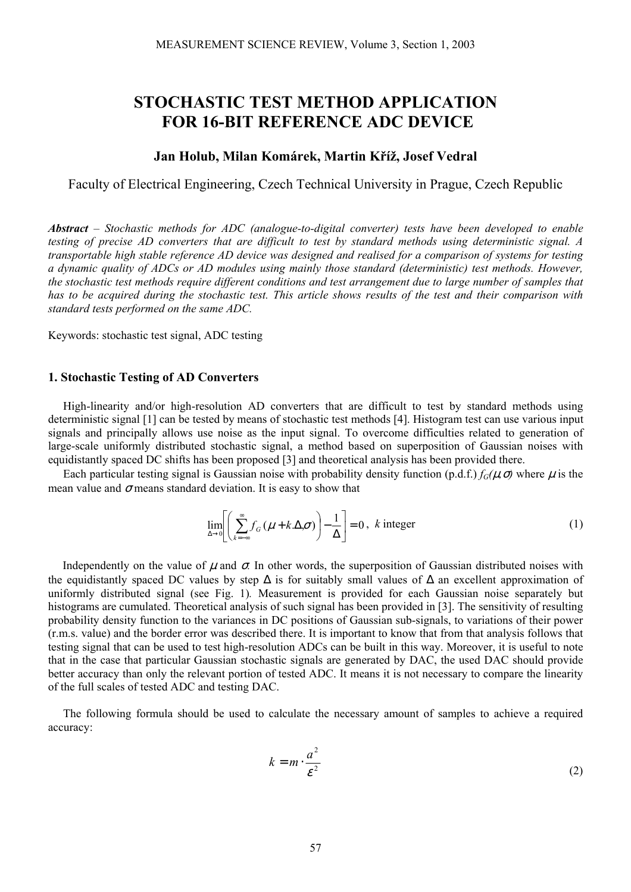# **STOCHASTIC TEST METHOD APPLICATION FOR 16-BIT REFERENCE ADC DEVICE**

### **Jan Holub, Milan Komárek, Martin Kříž, Josef Vedral**

Faculty of Electrical Engineering, Czech Technical University in Prague, Czech Republic

*Abstract – Stochastic methods for ADC (analogue-to-digital converter) tests have been developed to enable testing of precise AD converters that are difficult to test by standard methods using deterministic signal. A transportable high stable reference AD device was designed and realised for a comparison of systems for testing a dynamic quality of ADCs or AD modules using mainly those standard (deterministic) test methods. However, the stochastic test methods require different conditions and test arrangement due to large number of samples that has to be acquired during the stochastic test. This article shows results of the test and their comparison with standard tests performed on the same ADC.* 

Keywords: stochastic test signal, ADC testing

### **1. Stochastic Testing of AD Converters**

High-linearity and/or high-resolution AD converters that are difficult to test by standard methods using deterministic signal [1] can be tested by means of stochastic test methods [4]. Histogram test can use various input signals and principally allows use noise as the input signal. To overcome difficulties related to generation of large-scale uniformly distributed stochastic signal, a method based on superposition of Gaussian noises with equidistantly spaced DC shifts has been proposed [3] and theoretical analysis has been provided there.

Each particular testing signal is Gaussian noise with probability density function (p.d.f.)  $f_G(\mu, \sigma)$  where  $\mu$  is the mean value and  $\sigma$  means standard deviation. It is easy to show that

$$
\lim_{\Delta \to 0} \left[ \left( \sum_{k=-\infty}^{\infty} f_G \left( \mu + k \Delta \sigma \right) \right) - \frac{1}{\Delta} \right] = 0, \ k \text{ integer}
$$
 (1)

Independently on the value of  $\mu$  and  $\sigma$ . In other words, the superposition of Gaussian distributed noises with the equidistantly spaced DC values by step  $\Delta$  is for suitably small values of  $\Delta$  an excellent approximation of uniformly distributed signal (see Fig. 1)*.* Measurement is provided for each Gaussian noise separately but histograms are cumulated. Theoretical analysis of such signal has been provided in [3]. The sensitivity of resulting probability density function to the variances in DC positions of Gaussian sub-signals, to variations of their power (r.m.s. value) and the border error was described there. It is important to know that from that analysis follows that testing signal that can be used to test high-resolution ADCs can be built in this way. Moreover, it is useful to note that in the case that particular Gaussian stochastic signals are generated by DAC, the used DAC should provide better accuracy than only the relevant portion of tested ADC. It means it is not necessary to compare the linearity of the full scales of tested ADC and testing DAC.

The following formula should be used to calculate the necessary amount of samples to achieve a required accuracy:

$$
k = m \cdot \frac{a^2}{\varepsilon^2} \tag{2}
$$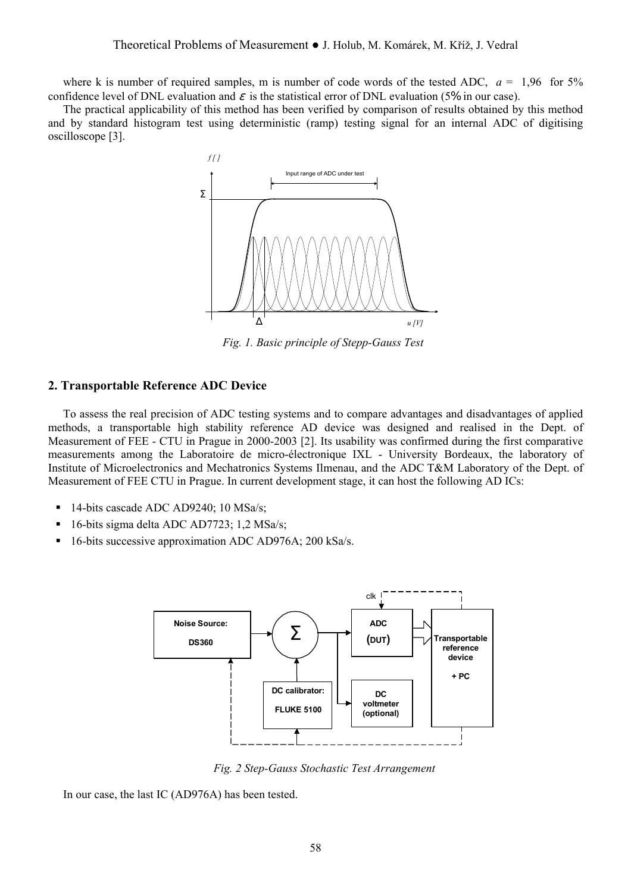where k is number of required samples, m is number of code words of the tested ADC,  $a = 1.96$  for 5% confidence level of DNL evaluation and  $\varepsilon$  is the statistical error of DNL evaluation (5% in our case).

The practical applicability of this method has been verified by comparison of results obtained by this method and by standard histogram test using deterministic (ramp) testing signal for an internal ADC of digitising oscilloscope [3].



*Fig. 1. Basic principle of Stepp-Gauss Test* 

#### **2. Transportable Reference ADC Device**

To assess the real precision of ADC testing systems and to compare advantages and disadvantages of applied methods, a transportable high stability reference AD device was designed and realised in the Dept. of Measurement of FEE - CTU in Prague in 2000-2003 [2]. Its usability was confirmed during the first comparative measurements among the Laboratoire de micro-électronique IXL - University Bordeaux, the laboratory of Institute of Microelectronics and Mechatronics Systems Ilmenau, and the ADC T&M Laboratory of the Dept. of Measurement of FEE CTU in Prague. In current development stage, it can host the following AD ICs:

- <sup>14-bits</sup> cascade ADC AD9240; 10 MSa/s;
- 16-bits sigma delta ADC AD7723; 1,2 MSa/s;
- 16-bits successive approximation ADC AD976A; 200 kSa/s.



 *Fig. 2 Step-Gauss Stochastic Test Arrangement* 

In our case, the last IC (AD976A) has been tested.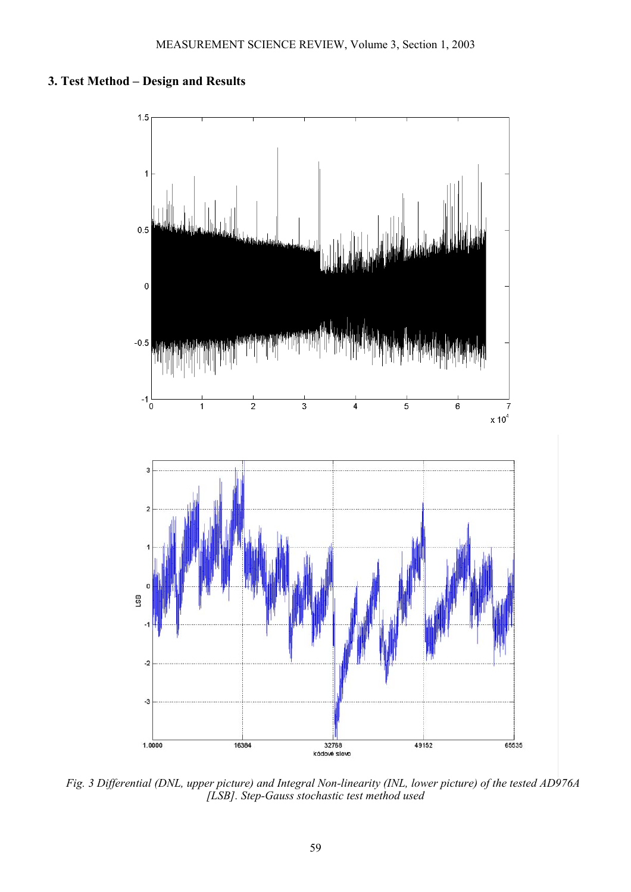## **3. Test Method – Design and Results**



*Fig. 3 Differential (DNL, upper picture) and Integral Non-linearity (INL, lower picture) of the tested AD976A [LSB]. Step-Gauss stochastic test method used*